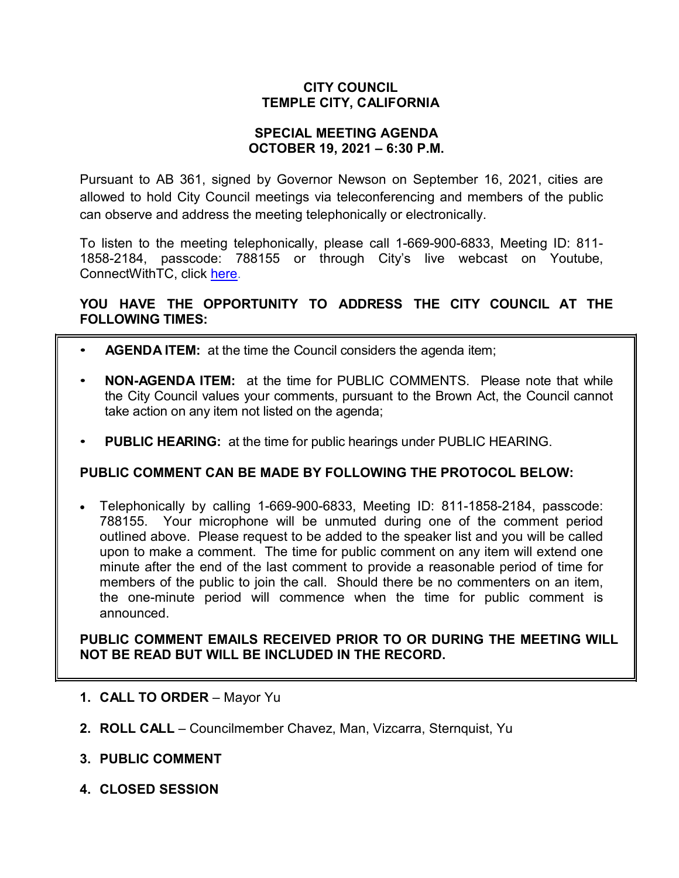## **CITY COUNCIL TEMPLE CITY, CALIFORNIA**

#### **SPECIAL MEETING AGENDA OCTOBER 19, 2021 – 6:30 P.M.**

Pursuant to AB 361, signed by Governor Newson on September 16, 2021, cities are allowed to hold City Council meetings via teleconferencing and members of the public can observe and address the meeting telephonically or electronically.

To listen to the meeting telephonically, please call 1-669-900-6833, Meeting ID: 811- 1858-2184, passcode: 788155 or through City's live webcast on Youtube, ConnectWithTC, click [here.](https://www.ci.temple-city.ca.us/516/Meeting-Webcast)

# **YOU HAVE THE OPPORTUNITY TO ADDRESS THE CITY COUNCIL AT THE FOLLOWING TIMES:**

- **AGENDA ITEM:** at the time the Council considers the agenda item;
- **NON-AGENDA ITEM:** at the time for PUBLIC COMMENTS. Please note that while the City Council values your comments, pursuant to the Brown Act, the Council cannot take action on any item not listed on the agenda;
- **PUBLIC HEARING:** at the time for public hearings under PUBLIC HEARING.

### **PUBLIC COMMENT CAN BE MADE BY FOLLOWING THE PROTOCOL BELOW:**

• Telephonically by calling 1-669-900-6833, Meeting ID: 811-1858-2184, passcode: 788155. Your microphone will be unmuted during one of the comment period outlined above. Please request to be added to the speaker list and you will be called upon to make a comment. The time for public comment on any item will extend one minute after the end of the last comment to provide a reasonable period of time for members of the public to join the call. Should there be no commenters on an item, the one-minute period will commence when the time for public comment is announced.

**PUBLIC COMMENT EMAILS RECEIVED PRIOR TO OR DURING THE MEETING WILL NOT BE READ BUT WILL BE INCLUDED IN THE RECORD.**

- **1. CALL TO ORDER**  Mayor Yu
- **2. ROLL CALL**  Councilmember Chavez, Man, Vizcarra, Sternquist, Yu
- **3. PUBLIC COMMENT**
- **4. CLOSED SESSION**